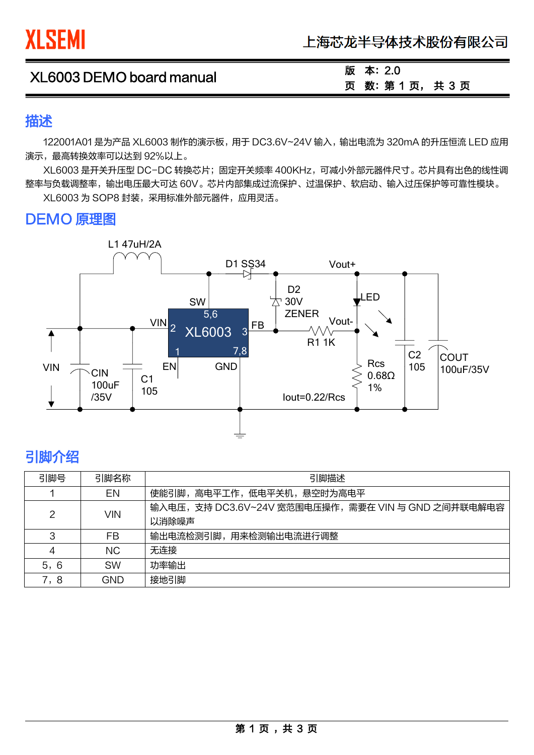| XL6003 DEMO board manual | 版 本: 2.0      |
|--------------------------|---------------|
|                          | 页 数: 第1页, 共3页 |

### 描述

122001A01 是为产品 XL6003 制作的演示板, 用于 DC3.6V~24V 输入, 输出电流为 320mA 的升压恒流 LED 应用 演示,最高转换效率可以达到 92%以上。

XL6003 是开关升压型 DC-DC 转换芯片;固定开关频率 400KHz,可减小外部元器件尺寸。芯片具有出色的线性调 整率与负载调整率,输出电压最大可达 60V。芯片内部集成过流保护、过温保护、软启动、输入过压保护等可靠性模块。

XL6003 为 SOP8 封装,采用标准外部元器件,应用灵活。

# DEMO 原理图



# 引脚介绍

 $\overline{a}$ 

| 引脚号            | 引脚名称       | 引脚描述                                                       |  |
|----------------|------------|------------------------------------------------------------|--|
|                | EN         | 使能引脚,高电平工作,低电平关机,悬空时为高电平                                   |  |
| $\overline{2}$ | <b>VIN</b> | 输入电压,支持 DC3.6V~24V 宽范围电压操作,需要在 VIN 与 GND 之间并联电解电容<br>以消除噪声 |  |
| 3              | FB         | 输出电流检测引脚,用来检测输出电流进行调整                                      |  |
| 4              | NC.        | 无连接                                                        |  |
| 5,6            | <b>SW</b>  | 功率输出                                                       |  |
| 7,8            | GND        | 接地引脚                                                       |  |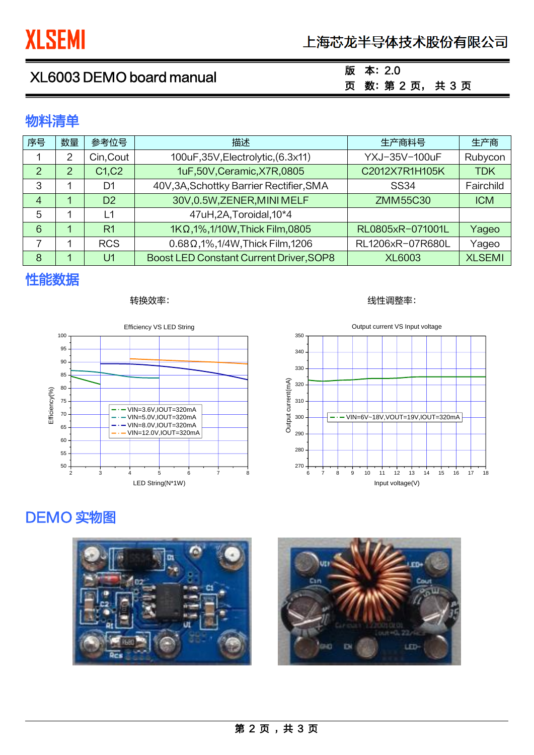# 上海芯龙半导体技术股份有限公司

# XL6003 DEMO board manual

## 版 本:2.0 页 数:第 2 页, 共 3 页

## 物料清单

| 序号             | 数量 | 参考位号                            | 描述                                                   | 生产商料号            | 生产商           |
|----------------|----|---------------------------------|------------------------------------------------------|------------------|---------------|
|                | 2  | Cin, Cout                       | 100uF,35V,Electrolytic,(6.3x11)                      | YXJ-35V-100uF    | Rubycon       |
| $\mathcal{P}$  | 2  | C <sub>1</sub> , C <sub>2</sub> | 1uF,50V, Ceramic, X7R, 0805<br>C2012X7R1H105K        |                  | <b>TDK</b>    |
| 3              |    | D1                              | 40V, 3A, Schottky Barrier Rectifier, SMA             | <b>SS34</b>      | Fairchild     |
| $\overline{4}$ | 1  | D <sub>2</sub>                  | 30V,0.5W,ZENER,MINI MELF                             | ZMM55C30         | <b>ICM</b>    |
| 5              |    | L1                              | 47uH,2A,Toroidal,10*4                                |                  |               |
| 6              | 1  | R <sub>1</sub>                  | 1KΩ, 1%, 1/10W, Thick Film, 0805<br>RL0805xR-071001L |                  | Yageo         |
|                |    | <b>RCS</b>                      | $0.68 \Omega$ , 1%, 1/4W, Thick Film, 1206           | RL1206xR-07R680L | Yageo         |
| 8              |    | U1                              | Boost LED Constant Current Driver, SOP8              | <b>XL6003</b>    | <b>XLSEMI</b> |

# 性能数据



### 转换效率: 线性调整率:



# DEMO 实物图

 $\overline{a}$